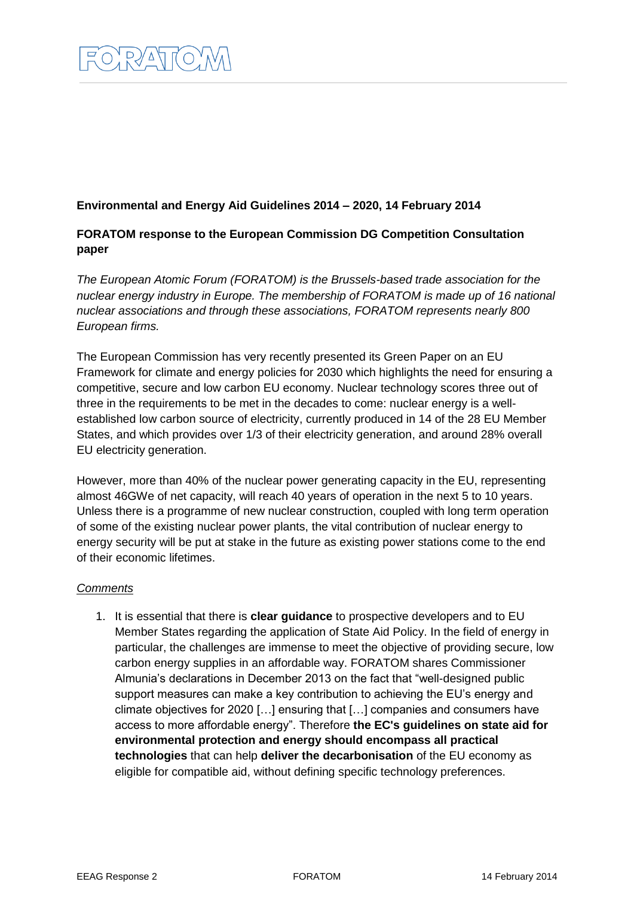## **Environmental and Energy Aid Guidelines 2014 – 2020, 14 February 2014**

## **FORATOM response to the European Commission DG Competition Consultation paper**

*The European Atomic Forum (FORATOM) is the Brussels-based trade association for the nuclear energy industry in Europe. The membership of FORATOM is made up of 16 national nuclear associations and through these associations, FORATOM represents nearly 800 European firms.*

The European Commission has very recently presented its Green Paper on an EU Framework for climate and energy policies for 2030 which highlights the need for ensuring a competitive, secure and low carbon EU economy. Nuclear technology scores three out of three in the requirements to be met in the decades to come: nuclear energy is a wellestablished low carbon source of electricity, currently produced in 14 of the 28 EU Member States, and which provides over 1/3 of their electricity generation, and around 28% overall EU electricity generation.

However, more than 40% of the nuclear power generating capacity in the EU, representing almost 46GWe of net capacity, will reach 40 years of operation in the next 5 to 10 years. Unless there is a programme of new nuclear construction, coupled with long term operation of some of the existing nuclear power plants, the vital contribution of nuclear energy to energy security will be put at stake in the future as existing power stations come to the end of their economic lifetimes.

## *Comments*

1. It is essential that there is **clear guidance** to prospective developers and to EU Member States regarding the application of State Aid Policy. In the field of energy in particular, the challenges are immense to meet the objective of providing secure, low carbon energy supplies in an affordable way. FORATOM shares Commissioner Almunia's declarations in December 2013 on the fact that "well-designed public support measures can make a key contribution to achieving the EU's energy and climate objectives for 2020 […] ensuring that […] companies and consumers have access to more affordable energy". Therefore **the EC's guidelines on state aid for environmental protection and energy should encompass all practical technologies** that can help **deliver the decarbonisation** of the EU economy as eligible for compatible aid, without defining specific technology preferences.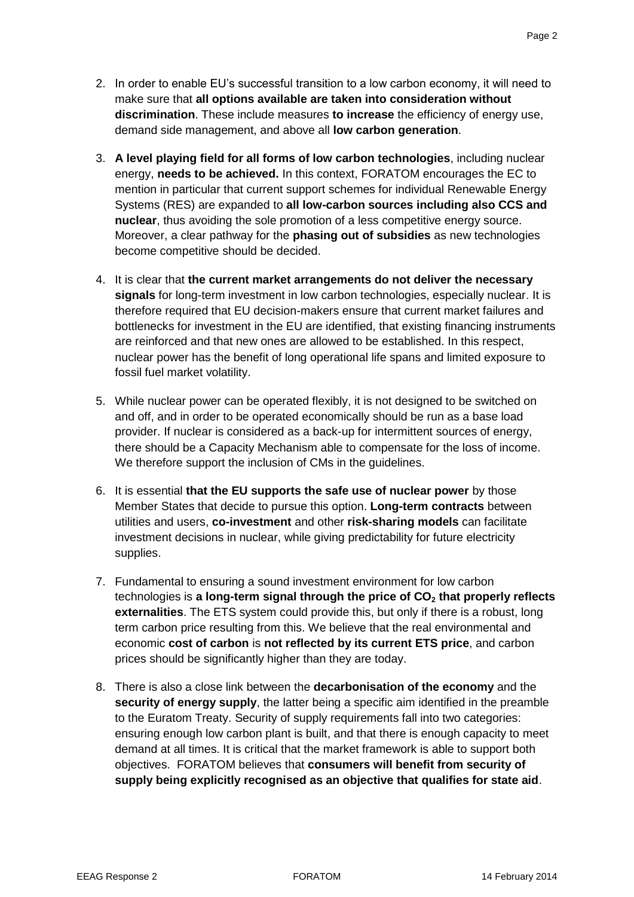- 2. In order to enable EU's successful transition to a low carbon economy, it will need to make sure that **all options available are taken into consideration without discrimination**. These include measures **to increase** the efficiency of energy use, demand side management, and above all **low carbon generation**.
- 3. **A level playing field for all forms of low carbon technologies**, including nuclear energy, **needs to be achieved.** In this context, FORATOM encourages the EC to mention in particular that current support schemes for individual Renewable Energy Systems (RES) are expanded to **all low-carbon sources including also CCS and nuclear**, thus avoiding the sole promotion of a less competitive energy source. Moreover, a clear pathway for the **phasing out of subsidies** as new technologies become competitive should be decided.
- 4. It is clear that **the current market arrangements do not deliver the necessary signals** for long-term investment in low carbon technologies, especially nuclear. It is therefore required that EU decision-makers ensure that current market failures and bottlenecks for investment in the EU are identified, that existing financing instruments are reinforced and that new ones are allowed to be established. In this respect, nuclear power has the benefit of long operational life spans and limited exposure to fossil fuel market volatility.
- 5. While nuclear power can be operated flexibly, it is not designed to be switched on and off, and in order to be operated economically should be run as a base load provider. If nuclear is considered as a back-up for intermittent sources of energy, there should be a Capacity Mechanism able to compensate for the loss of income. We therefore support the inclusion of CMs in the guidelines.
- 6. It is essential **that the EU supports the safe use of nuclear power** by those Member States that decide to pursue this option. **Long-term contracts** between utilities and users, **co-investment** and other **risk-sharing models** can facilitate investment decisions in nuclear, while giving predictability for future electricity supplies.
- 7. Fundamental to ensuring a sound investment environment for low carbon technologies is **a long-term signal through the price of CO<sup>2</sup> that properly reflects externalities**. The ETS system could provide this, but only if there is a robust, long term carbon price resulting from this. We believe that the real environmental and economic **cost of carbon** is **not reflected by its current ETS price**, and carbon prices should be significantly higher than they are today.
- 8. There is also a close link between the **decarbonisation of the economy** and the **security of energy supply**, the latter being a specific aim identified in the preamble to the Euratom Treaty. Security of supply requirements fall into two categories: ensuring enough low carbon plant is built, and that there is enough capacity to meet demand at all times. It is critical that the market framework is able to support both objectives. FORATOM believes that **consumers will benefit from security of supply being explicitly recognised as an objective that qualifies for state aid**.